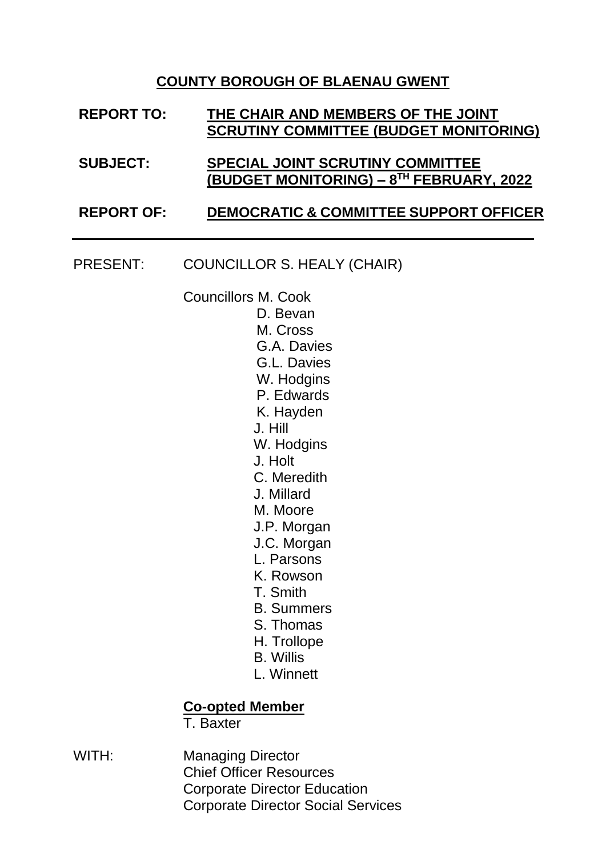## **COUNTY BOROUGH OF BLAENAU GWENT**

| <b>REPORT TO:</b> | THE CHAIR AND MEMBERS OF THE JOINT<br><b>SCRUTINY COMMITTEE (BUDGET MONITORING)</b> |  |
|-------------------|-------------------------------------------------------------------------------------|--|
| <b>SUBJECT:</b>   | SPECIAL JOINT SCRUTINY COMMITTEE<br>(BUDGET MONITORING) – 8TH FEBRUARY, 2022        |  |
| <b>REPORT OF:</b> | <b>DEMOCRATIC &amp; COMMITTEE SUPPORT OFFICER</b>                                   |  |

PRESENT: COUNCILLOR S. HEALY (CHAIR)

Councillors M. Cook

- D. Bevan M. Cross G.A. Davies G.L. Davies W. Hodgins P. Edwards K. Hayden J. Hill W. Hodgins J. Holt C. Meredith J. Millard M. Moore J.P. Morgan J.C. Morgan L. Parsons K. Rowson T. Smith B. Summers
	- S. Thomas
	- H. Trollope
	- B. Willis
	- L. Winnett

## **Co-opted Member**

T. Baxter

WITH: Managing Director Chief Officer Resources Corporate Director Education Corporate Director Social Services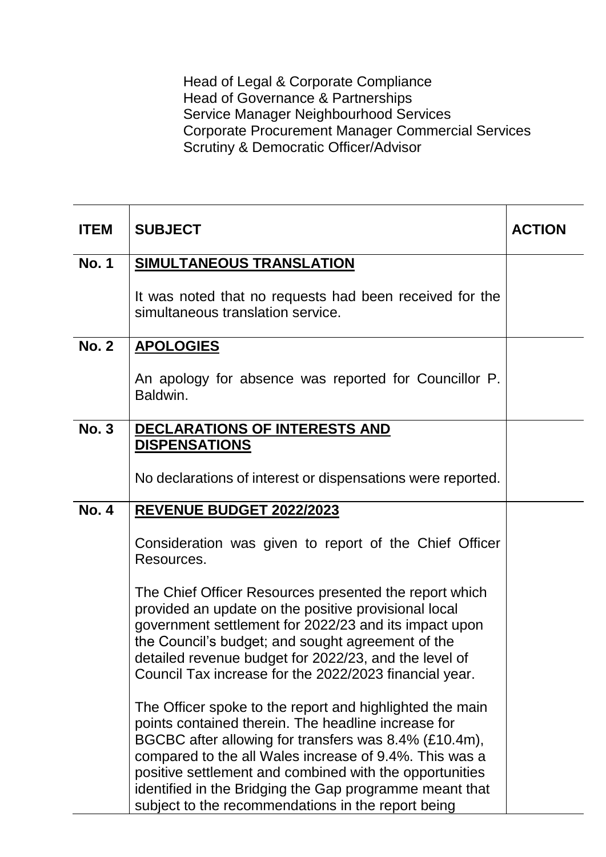Head of Legal & Corporate Compliance Head of Governance & Partnerships Service Manager Neighbourhood Services Corporate Procurement Manager Commercial Services Scrutiny & Democratic Officer/Advisor

| <b>ITEM</b>  | <b>SUBJECT</b>                                                                                                                                                                                                                                                                                                                                                                                                 | <b>ACTION</b> |
|--------------|----------------------------------------------------------------------------------------------------------------------------------------------------------------------------------------------------------------------------------------------------------------------------------------------------------------------------------------------------------------------------------------------------------------|---------------|
| <b>No. 1</b> | SIMULTANEOUS TRANSLATION                                                                                                                                                                                                                                                                                                                                                                                       |               |
|              | It was noted that no requests had been received for the<br>simultaneous translation service.                                                                                                                                                                                                                                                                                                                   |               |
| <b>No. 2</b> | <b>APOLOGIES</b>                                                                                                                                                                                                                                                                                                                                                                                               |               |
|              | An apology for absence was reported for Councillor P.<br>Baldwin.                                                                                                                                                                                                                                                                                                                                              |               |
| <b>No. 3</b> | DECLARATIONS OF INTERESTS AND<br><b>DISPENSATIONS</b>                                                                                                                                                                                                                                                                                                                                                          |               |
|              | No declarations of interest or dispensations were reported.                                                                                                                                                                                                                                                                                                                                                    |               |
| <b>No. 4</b> | <b>REVENUE BUDGET 2022/2023</b>                                                                                                                                                                                                                                                                                                                                                                                |               |
|              | Consideration was given to report of the Chief Officer<br>Resources.                                                                                                                                                                                                                                                                                                                                           |               |
|              | The Chief Officer Resources presented the report which<br>provided an update on the positive provisional local<br>government settlement for 2022/23 and its impact upon<br>the Council's budget; and sought agreement of the<br>detailed revenue budget for 2022/23, and the level of<br>Council Tax increase for the 2022/2023 financial year.                                                                |               |
|              | The Officer spoke to the report and highlighted the main<br>points contained therein. The headline increase for<br>BGCBC after allowing for transfers was 8.4% (£10.4m),<br>compared to the all Wales increase of 9.4%. This was a<br>positive settlement and combined with the opportunities<br>identified in the Bridging the Gap programme meant that<br>subject to the recommendations in the report being |               |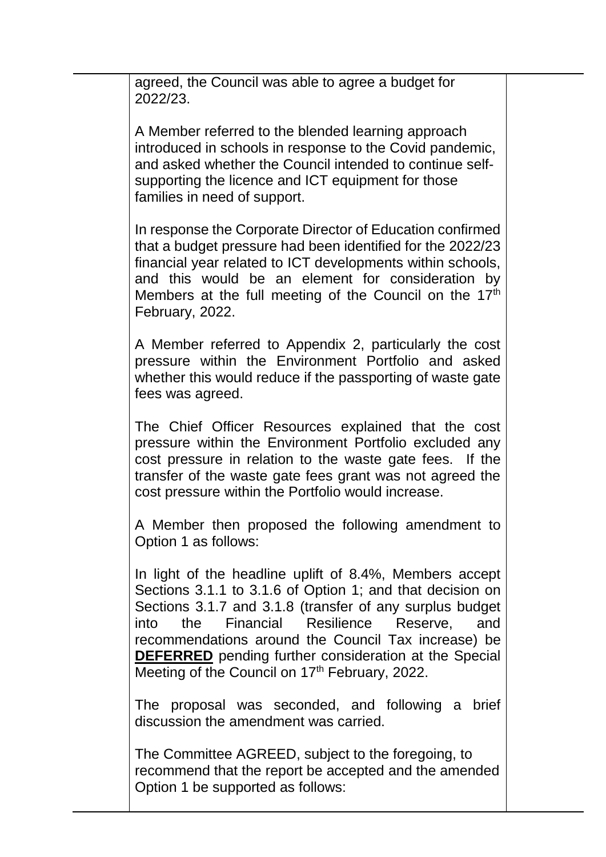agreed, the Council was able to agree a budget for 2022/23.

A Member referred to the blended learning approach introduced in schools in response to the Covid pandemic, and asked whether the Council intended to continue selfsupporting the licence and ICT equipment for those families in need of support.

In response the Corporate Director of Education confirmed that a budget pressure had been identified for the 2022/23 financial year related to ICT developments within schools, and this would be an element for consideration by Members at the full meeting of the Council on the 17<sup>th</sup> February, 2022.

A Member referred to Appendix 2, particularly the cost pressure within the Environment Portfolio and asked whether this would reduce if the passporting of waste gate fees was agreed.

The Chief Officer Resources explained that the cost pressure within the Environment Portfolio excluded any cost pressure in relation to the waste gate fees. If the transfer of the waste gate fees grant was not agreed the cost pressure within the Portfolio would increase.

A Member then proposed the following amendment to Option 1 as follows:

In light of the headline uplift of 8.4%, Members accept Sections 3.1.1 to 3.1.6 of Option 1; and that decision on Sections 3.1.7 and 3.1.8 (transfer of any surplus budget into the Financial Resilience Reserve, and recommendations around the Council Tax increase) be **DEFERRED** pending further consideration at the Special Meeting of the Council on 17<sup>th</sup> February, 2022.

The proposal was seconded, and following a brief discussion the amendment was carried.

The Committee AGREED, subject to the foregoing, to recommend that the report be accepted and the amended Option 1 be supported as follows: